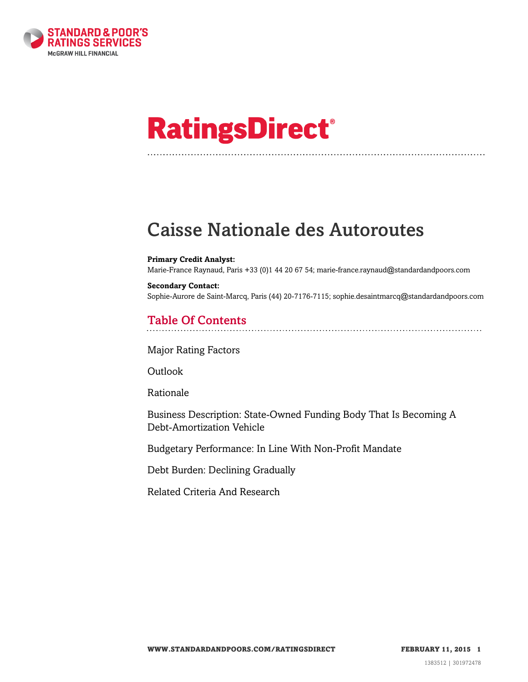

# **RatingsDirect®**

## Caisse Nationale des Autoroutes

#### **Primary Credit Analyst:**

Marie-France Raynaud, Paris +33 (0)1 44 20 67 54; marie-france.raynaud@standardandpoors.com

**Secondary Contact:** Sophie-Aurore de Saint-Marcq, Paris (44) 20-7176-7115; sophie.desaintmarcq@standardandpoors.com

## Table Of Contents

[Major Rating Factors](#page-1-0)

**[Outlook](#page-1-1)** 

[Rationale](#page-1-2)

[Business Description: State-Owned Funding Body That Is Becoming A](#page-3-0) [Debt-Amortization Vehicle](#page-3-0)

[Budgetary Performance: In Line With Non-Profit Mandate](#page-5-0)

[Debt Burden: Declining Gradually](#page-6-0)

[Related Criteria And Research](#page-6-1)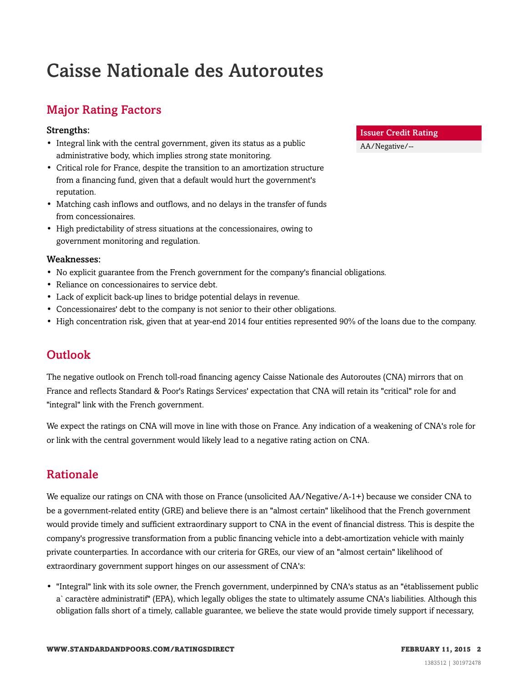## Caisse Nationale des Autoroutes

## <span id="page-1-0"></span>Major Rating Factors

#### Strengths:

- Integral link with the central government, given its status as a public administrative body, which implies strong state monitoring.
- Critical role for France, despite the transition to an amortization structure from a financing fund, given that a default would hurt the government's reputation.
- Matching cash inflows and outflows, and no delays in the transfer of funds from concessionaires.
- High predictability of stress situations at the concessionaires, owing to government monitoring and regulation.

#### Weaknesses:

- No explicit guarantee from the French government for the company's financial obligations.
- Reliance on concessionaires to service debt.
- Lack of explicit back-up lines to bridge potential delays in revenue.
- Concessionaires' debt to the company is not senior to their other obligations.
- <span id="page-1-1"></span>• High concentration risk, given that at year-end 2014 four entities represented 90% of the loans due to the company.

## **Outlook**

The negative outlook on French toll-road financing agency Caisse Nationale des Autoroutes (CNA) mirrors that on France and reflects Standard & Poor's Ratings Services' expectation that CNA will retain its "critical" role for and "integral" link with the French government.

We expect the ratings on CNA will move in line with those on France. Any indication of a weakening of CNA's role for or link with the central government would likely lead to a negative rating action on CNA.

## <span id="page-1-2"></span>Rationale

We equalize our ratings on CNA with those on France (unsolicited AA/Negative/A-1+) because we consider CNA to be a government-related entity (GRE) and believe there is an "almost certain" likelihood that the French government would provide timely and sufficient extraordinary support to CNA in the event of financial distress. This is despite the company's progressive transformation from a public financing vehicle into a debt-amortization vehicle with mainly private counterparties. In accordance with our criteria for GREs, our view of an "almost certain" likelihood of extraordinary government support hinges on our assessment of CNA's:

• "Integral" link with its sole owner, the French government, underpinned by CNA's status as an "établissement public a` caractère administratif" (EPA), which legally obliges the state to ultimately assume CNA's liabilities. Although this obligation falls short of a timely, callable guarantee, we believe the state would provide timely support if necessary,

#### Issuer Credit Rating

AA/Negative/--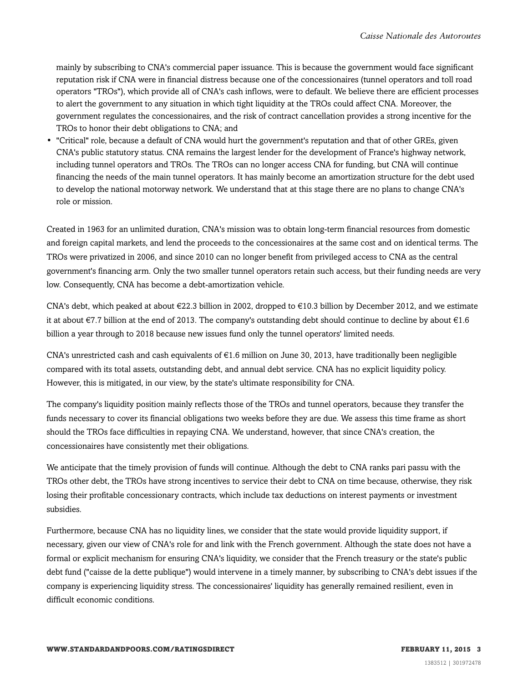mainly by subscribing to CNA's commercial paper issuance. This is because the government would face significant reputation risk if CNA were in financial distress because one of the concessionaires (tunnel operators and toll road operators "TROs"), which provide all of CNA's cash inflows, were to default. We believe there are efficient processes to alert the government to any situation in which tight liquidity at the TROs could affect CNA. Moreover, the government regulates the concessionaires, and the risk of contract cancellation provides a strong incentive for the TROs to honor their debt obligations to CNA; and

• "Critical" role, because a default of CNA would hurt the government's reputation and that of other GREs, given CNA's public statutory status. CNA remains the largest lender for the development of France's highway network, including tunnel operators and TROs. The TROs can no longer access CNA for funding, but CNA will continue financing the needs of the main tunnel operators. It has mainly become an amortization structure for the debt used to develop the national motorway network. We understand that at this stage there are no plans to change CNA's role or mission.

Created in 1963 for an unlimited duration, CNA's mission was to obtain long-term financial resources from domestic and foreign capital markets, and lend the proceeds to the concessionaires at the same cost and on identical terms. The TROs were privatized in 2006, and since 2010 can no longer benefit from privileged access to CNA as the central government's financing arm. Only the two smaller tunnel operators retain such access, but their funding needs are very low. Consequently, CNA has become a debt-amortization vehicle.

CNA's debt, which peaked at about  $\epsilon$ 22.3 billion in 2002, dropped to  $\epsilon$ 10.3 billion by December 2012, and we estimate it at about €7.7 billion at the end of 2013. The company's outstanding debt should continue to decline by about €1.6 billion a year through to 2018 because new issues fund only the tunnel operators' limited needs.

CNA's unrestricted cash and cash equivalents of €1.6 million on June 30, 2013, have traditionally been negligible compared with its total assets, outstanding debt, and annual debt service. CNA has no explicit liquidity policy. However, this is mitigated, in our view, by the state's ultimate responsibility for CNA.

The company's liquidity position mainly reflects those of the TROs and tunnel operators, because they transfer the funds necessary to cover its financial obligations two weeks before they are due. We assess this time frame as short should the TROs face difficulties in repaying CNA. We understand, however, that since CNA's creation, the concessionaires have consistently met their obligations.

We anticipate that the timely provision of funds will continue. Although the debt to CNA ranks pari passu with the TROs other debt, the TROs have strong incentives to service their debt to CNA on time because, otherwise, they risk losing their profitable concessionary contracts, which include tax deductions on interest payments or investment subsidies.

Furthermore, because CNA has no liquidity lines, we consider that the state would provide liquidity support, if necessary, given our view of CNA's role for and link with the French government. Although the state does not have a formal or explicit mechanism for ensuring CNA's liquidity, we consider that the French treasury or the state's public debt fund ("caisse de la dette publique") would intervene in a timely manner, by subscribing to CNA's debt issues if the company is experiencing liquidity stress. The concessionaires' liquidity has generally remained resilient, even in difficult economic conditions.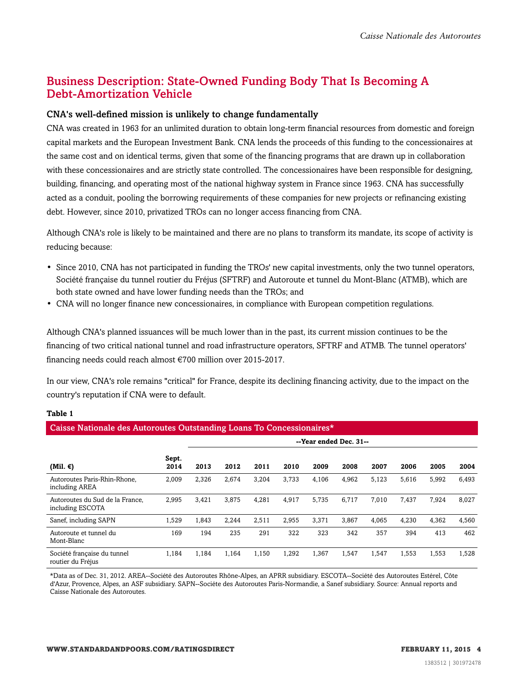### <span id="page-3-0"></span>Business Description: State-Owned Funding Body That Is Becoming A Debt-Amortization Vehicle

#### CNA's well-defined mission is unlikely to change fundamentally

CNA was created in 1963 for an unlimited duration to obtain long-term financial resources from domestic and foreign capital markets and the European Investment Bank. CNA lends the proceeds of this funding to the concessionaires at the same cost and on identical terms, given that some of the financing programs that are drawn up in collaboration with these concessionaires and are strictly state controlled. The concessionaires have been responsible for designing, building, financing, and operating most of the national highway system in France since 1963. CNA has successfully acted as a conduit, pooling the borrowing requirements of these companies for new projects or refinancing existing debt. However, since 2010, privatized TROs can no longer access financing from CNA.

Although CNA's role is likely to be maintained and there are no plans to transform its mandate, its scope of activity is reducing because:

- Since 2010, CNA has not participated in funding the TROs' new capital investments, only the two tunnel operators, Société française du tunnel routier du Fréjus (SFTRF) and Autoroute et tunnel du Mont-Blanc (ATMB), which are both state owned and have lower funding needs than the TROs; and
- CNA will no longer finance new concessionaires, in compliance with European competition regulations.

Although CNA's planned issuances will be much lower than in the past, its current mission continues to be the financing of two critical national tunnel and road infrastructure operators, SFTRF and ATMB. The tunnel operators' financing needs could reach almost €700 million over 2015-2017.

In our view, CNA's role remains "critical" for France, despite its declining financing activity, due to the impact on the country's reputation if CNA were to default.

#### **Table 1**

| Caisse Nationale des Autoroutes Outstanding Loans To Concessionaires* |               |                        |       |       |       |       |       |       |       |       |       |
|-----------------------------------------------------------------------|---------------|------------------------|-------|-------|-------|-------|-------|-------|-------|-------|-------|
|                                                                       |               | --Year ended Dec. 31-- |       |       |       |       |       |       |       |       |       |
| (Mil. $\epsilon$ )                                                    | Sept.<br>2014 | 2013                   | 2012  | 2011  | 2010  | 2009  | 2008  | 2007  | 2006  | 2005  | 2004  |
| Autoroutes Paris-Rhin-Rhone.<br>including AREA                        | 2,009         | 2,326                  | 2,674 | 3,204 | 3,733 | 4,106 | 4,962 | 5,123 | 5,616 | 5,992 | 6,493 |
| Autoroutes du Sud de la France,<br>including ESCOTA                   | 2,995         | 3,421                  | 3,875 | 4,281 | 4,917 | 5,735 | 6,717 | 7,010 | 7,437 | 7,924 | 8,027 |
| Sanef, including SAPN                                                 | 1,529         | 1.843                  | 2.244 | 2,511 | 2.955 | 3,371 | 3,867 | 4.065 | 4,230 | 4,362 | 4,560 |
| Autoroute et tunnel du<br>Mont-Blanc                                  | 169           | 194                    | 235   | 291   | 322   | 323   | 342   | 357   | 394   | 413   | 462   |
| Société française du tunnel<br>routier du Fréjus                      | 1,184         | 1,184                  | 1,164 | 1,150 | 1,292 | 1,367 | 1,547 | 1,547 | 1,553 | 1,553 | 1,528 |

\*Data as of Dec. 31, 2012. AREA--Société des Autoroutes Rhône-Alpes, an APRR subsidiary. ESCOTA--Société des Autoroutes Estérel, Côte d'Azur, Provence, Alpes, an ASF subsidiary. SAPN--Sociéte des Autoroutes Paris-Normandie, a Sanef subsidiary. Source: Annual reports and Caisse Nationale des Autoroutes.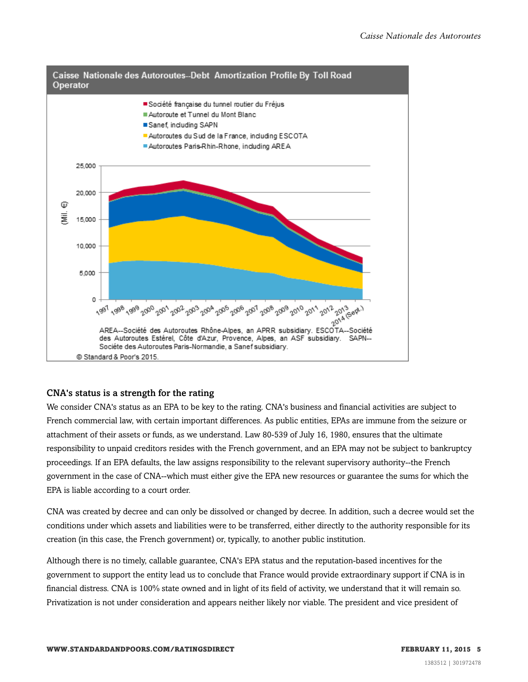

#### CNA's status is a strength for the rating

We consider CNA's status as an EPA to be key to the rating. CNA's business and financial activities are subject to French commercial law, with certain important differences. As public entities, EPAs are immune from the seizure or attachment of their assets or funds, as we understand. Law 80-539 of July 16, 1980, ensures that the ultimate responsibility to unpaid creditors resides with the French government, and an EPA may not be subject to bankruptcy proceedings. If an EPA defaults, the law assigns responsibility to the relevant supervisory authority--the French government in the case of CNA--which must either give the EPA new resources or guarantee the sums for which the EPA is liable according to a court order.

CNA was created by decree and can only be dissolved or changed by decree. In addition, such a decree would set the conditions under which assets and liabilities were to be transferred, either directly to the authority responsible for its creation (in this case, the French government) or, typically, to another public institution.

Although there is no timely, callable guarantee, CNA's EPA status and the reputation-based incentives for the government to support the entity lead us to conclude that France would provide extraordinary support if CNA is in financial distress. CNA is 100% state owned and in light of its field of activity, we understand that it will remain so. Privatization is not under consideration and appears neither likely nor viable. The president and vice president of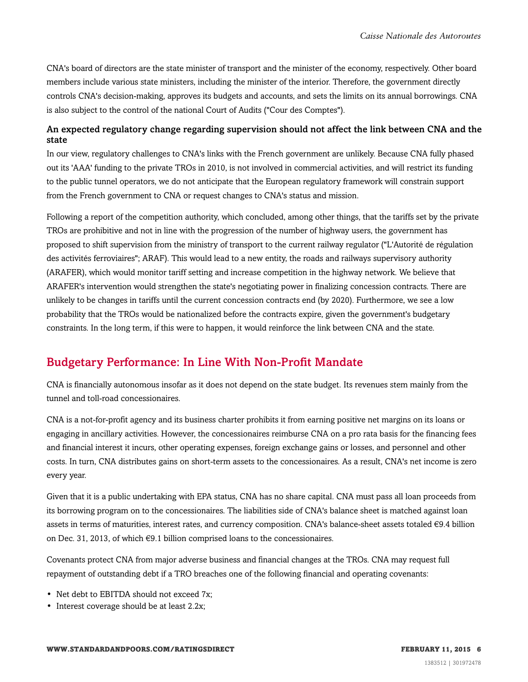CNA's board of directors are the state minister of transport and the minister of the economy, respectively. Other board members include various state ministers, including the minister of the interior. Therefore, the government directly controls CNA's decision-making, approves its budgets and accounts, and sets the limits on its annual borrowings. CNA is also subject to the control of the national Court of Audits ("Cour des Comptes").

#### An expected regulatory change regarding supervision should not affect the link between CNA and the state

In our view, regulatory challenges to CNA's links with the French government are unlikely. Because CNA fully phased out its 'AAA' funding to the private TROs in 2010, is not involved in commercial activities, and will restrict its funding to the public tunnel operators, we do not anticipate that the European regulatory framework will constrain support from the French government to CNA or request changes to CNA's status and mission.

Following a report of the competition authority, which concluded, among other things, that the tariffs set by the private TROs are prohibitive and not in line with the progression of the number of highway users, the government has proposed to shift supervision from the ministry of transport to the current railway regulator ("L'Autorité de régulation des activités ferroviaires"; ARAF). This would lead to a new entity, the roads and railways supervisory authority (ARAFER), which would monitor tariff setting and increase competition in the highway network. We believe that ARAFER's intervention would strengthen the state's negotiating power in finalizing concession contracts. There are unlikely to be changes in tariffs until the current concession contracts end (by 2020). Furthermore, we see a low probability that the TROs would be nationalized before the contracts expire, given the government's budgetary constraints. In the long term, if this were to happen, it would reinforce the link between CNA and the state.

## <span id="page-5-0"></span>Budgetary Performance: In Line With Non-Profit Mandate

CNA is financially autonomous insofar as it does not depend on the state budget. Its revenues stem mainly from the tunnel and toll-road concessionaires.

CNA is a not-for-profit agency and its business charter prohibits it from earning positive net margins on its loans or engaging in ancillary activities. However, the concessionaires reimburse CNA on a pro rata basis for the financing fees and financial interest it incurs, other operating expenses, foreign exchange gains or losses, and personnel and other costs. In turn, CNA distributes gains on short-term assets to the concessionaires. As a result, CNA's net income is zero every year.

Given that it is a public undertaking with EPA status, CNA has no share capital. CNA must pass all loan proceeds from its borrowing program on to the concessionaires. The liabilities side of CNA's balance sheet is matched against loan assets in terms of maturities, interest rates, and currency composition. CNA's balance-sheet assets totaled €9.4 billion on Dec. 31, 2013, of which  $\epsilon$ 9.1 billion comprised loans to the concessionaires.

Covenants protect CNA from major adverse business and financial changes at the TROs. CNA may request full repayment of outstanding debt if a TRO breaches one of the following financial and operating covenants:

- Net debt to EBITDA should not exceed 7x:
- Interest coverage should be at least 2.2x;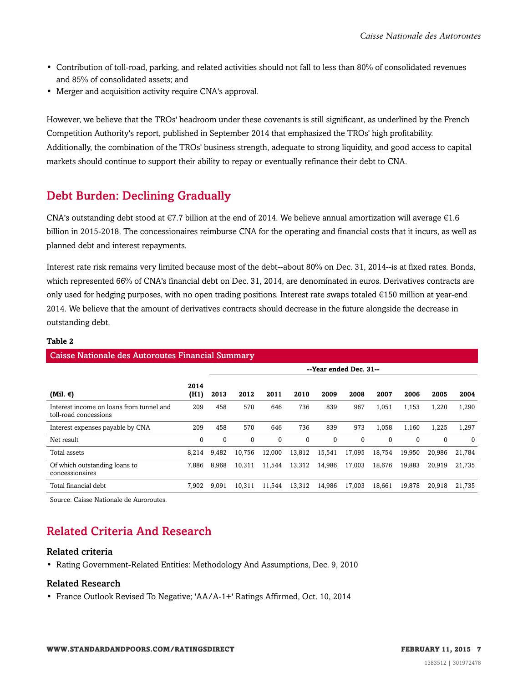- Contribution of toll-road, parking, and related activities should not fall to less than 80% of consolidated revenues and 85% of consolidated assets; and
- Merger and acquisition activity require CNA's approval.

However, we believe that the TROs' headroom under these covenants is still significant, as underlined by the French Competition Authority's report, published in September 2014 that emphasized the TROs' high profitability. Additionally, the combination of the TROs' business strength, adequate to strong liquidity, and good access to capital markets should continue to support their ability to repay or eventually refinance their debt to CNA.

## <span id="page-6-0"></span>Debt Burden: Declining Gradually

CNA's outstanding debt stood at  $\epsilon$ 7.7 billion at the end of 2014. We believe annual amortization will average  $\epsilon$ 1.6 billion in 2015-2018. The concessionaires reimburse CNA for the operating and financial costs that it incurs, as well as planned debt and interest repayments.

Interest rate risk remains very limited because most of the debt--about 80% on Dec. 31, 2014--is at fixed rates. Bonds, which represented 66% of CNA's financial debt on Dec. 31, 2014, are denominated in euros. Derivatives contracts are only used for hedging purposes, with no open trading positions. Interest rate swaps totaled €150 million at year-end 2014. We believe that the amount of derivatives contracts should decrease in the future alongside the decrease in outstanding debt.

#### **Table 2**

#### Caisse Nationale des Autoroutes Financial Summary

|                                                                   |              | --Year ended Dec. 31-- |          |          |          |          |          |             |             |          |          |
|-------------------------------------------------------------------|--------------|------------------------|----------|----------|----------|----------|----------|-------------|-------------|----------|----------|
| (Mil. €)                                                          | 2014<br>(H1) | 2013                   | 2012     | 2011     | 2010     | 2009     | 2008     | 2007        | 2006        | 2005     | 2004     |
| Interest income on loans from tunnel and<br>toll-road concessions | 209          | 458                    | 570      | 646      | 736      | 839      | 967      | 1,051       | 1,153       | 1,220    | 1,290    |
| Interest expenses payable by CNA                                  | 209          | 458                    | 570      | 646      | 736      | 839      | 973      | 1,058       | 1.160       | 1,225    | 1,297    |
| Net result                                                        | $\mathbf 0$  | $\Omega$               | $\Omega$ | $\Omega$ | $\Omega$ | $\Omega$ | $\Omega$ | $\mathbf 0$ | $\mathbf 0$ | $\Omega$ | $\Omega$ |
| Total assets                                                      | 8.214        | 9.482                  | 10.756   | 12.000   | 13.812   | 15.541   | 17.095   | 18.754      | 19,950      | 20.986   | 21,784   |
| Of which outstanding loans to<br>concessionaires                  | 7.886        | 8.968                  | 10.311   | 11.544   | 13,312   | 14.986   | 17.003   | 18.676      | 19.883      | 20.919   | 21.735   |
| Total financial debt                                              | 7.902        | 9.091                  | 10.311   | 11.544   | 13.312   | 14.986   | 17.003   | 18.661      | 19.878      | 20.918   | 21.735   |

<span id="page-6-1"></span>Source: Caisse Nationale de Auroroutes.

## Related Criteria And Research

#### Related criteria

• Rating Government-Related Entities: Methodology And Assumptions, Dec. 9, 2010

#### Related Research

• France Outlook Revised To Negative; 'AA/A-1+' Ratings Affirmed, Oct. 10, 2014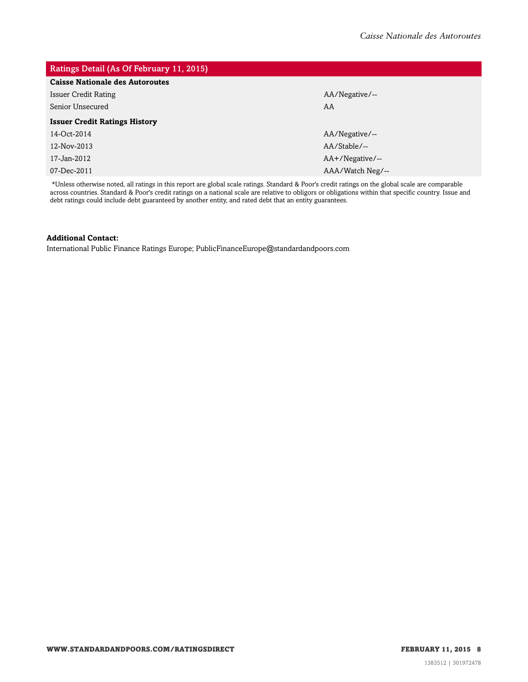| Ratings Detail (As Of February 11, 2015) |  |  |  |  |  |  |  |
|------------------------------------------|--|--|--|--|--|--|--|
|                                          |  |  |  |  |  |  |  |
| AA/Negative/--                           |  |  |  |  |  |  |  |
| AA                                       |  |  |  |  |  |  |  |
|                                          |  |  |  |  |  |  |  |
| AA/Negative/--                           |  |  |  |  |  |  |  |
| AA/Stable/--                             |  |  |  |  |  |  |  |
| $AA+$ /Negative/--                       |  |  |  |  |  |  |  |
| AAA/Watch Neg/--                         |  |  |  |  |  |  |  |
|                                          |  |  |  |  |  |  |  |

\*Unless otherwise noted, all ratings in this report are global scale ratings. Standard & Poor's credit ratings on the global scale are comparable across countries. Standard & Poor's credit ratings on a national scale are relative to obligors or obligations within that specific country. Issue and debt ratings could include debt guaranteed by another entity, and rated debt that an entity guarantees.

#### **Additional Contact:**

International Public Finance Ratings Europe; PublicFinanceEurope@standardandpoors.com